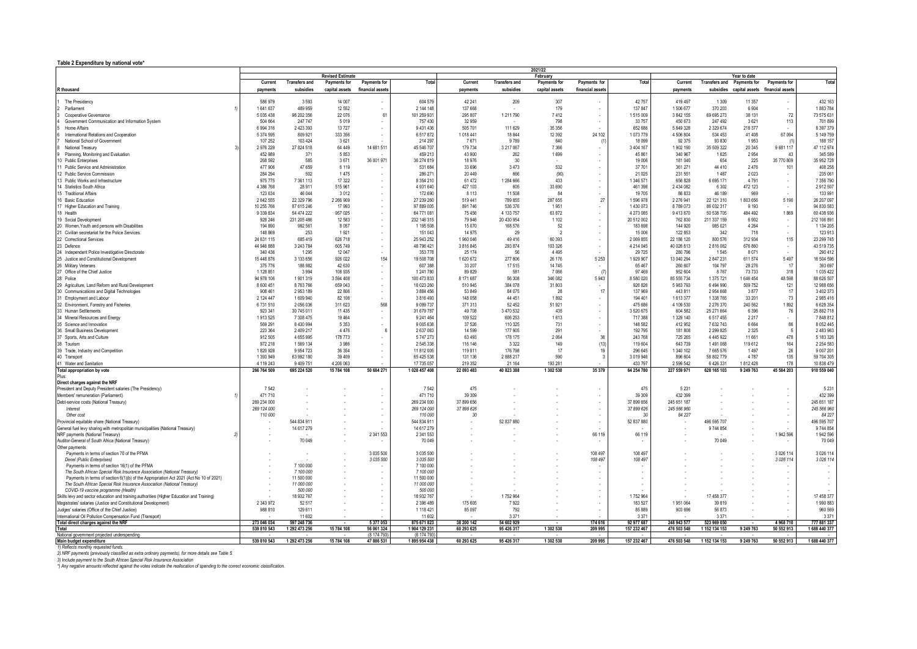## **Table 2 Expenditure by national vote\***

|                                                                                                                                                                    | 2021/22              |                                   |                         |                                                        |                         |                   |                      |                                |                                    |                     |                     |                          |                                                                         |                     |                         |
|--------------------------------------------------------------------------------------------------------------------------------------------------------------------|----------------------|-----------------------------------|-------------------------|--------------------------------------------------------|-------------------------|-------------------|----------------------|--------------------------------|------------------------------------|---------------------|---------------------|--------------------------|-------------------------------------------------------------------------|---------------------|-------------------------|
|                                                                                                                                                                    | Current              |                                   | <b>Revised Estimate</b> |                                                        | Total                   | Current           | <b>Transfers and</b> | February                       |                                    | Total               | Current             |                          | Year to date                                                            |                     | Total                   |
| R thousand                                                                                                                                                         | payments             | <b>Transfers and</b><br>subsidies | <b>Payments for</b>     | <b>Payments for</b><br>capital assets financial assets |                         | payments          | subsidies            | Payments for<br>capital assets | Payments for<br>financial assets   |                     | payments            |                          | Transfers and Payments for<br>subsidies capital assets financial assets | <b>Payments for</b> |                         |
|                                                                                                                                                                    |                      |                                   |                         |                                                        |                         |                   |                      |                                |                                    |                     |                     |                          |                                                                         |                     |                         |
| The Presidency                                                                                                                                                     | 586 979              | 3593                              | 14 007                  |                                                        | 604 579                 | 42 241            | 209                  | 307                            |                                    | 42 757              | 419 497             | 1 3 0 9                  | 11 357                                                                  |                     | 432 163                 |
| Parliament                                                                                                                                                         | 1641637              | 489 959                           | 12 552                  |                                                        | 2 144 148               | 137 668           |                      | 179                            |                                    | 137 847             | 1506677             | 370 203                  | 6904                                                                    |                     | 1883784                 |
| Cooperative Governance                                                                                                                                             | 5 0 3 5 4 3 8        | 96 202 356                        | 22 076                  | 61                                                     | 101 259 931             | 295 807           | 1 211 790            | 7412                           | $\cdot$                            | 1515009             | 3 842 155           | 69 695 273               | 38 131                                                                  | 72                  | 73 575 631              |
| Government Communication and Information System                                                                                                                    | 504 664              | 247 747                           | 5019                    |                                                        | 757 430                 | 32 959            |                      | 798                            |                                    | 33 757              | 450 673             | 247 492                  | 3621                                                                    | 113                 | 701899                  |
| <b>Home Affairs</b>                                                                                                                                                | 6 994 316            | 2 423 393                         | 13 727                  |                                                        | 9 431 436               | 505 701           | 111 629              | 35 356                         |                                    | 652 686             | 5 849 328           | 2 3 2 9 6 7 4            | 218 377                                                                 |                     | 8 397 379               |
| International Relations and Cooperation                                                                                                                            | 5 374 595            | 809 921                           | 333 356                 |                                                        | 6517872                 | 1018 441          | 18 844               | 12 3 9 2                       | 24 102                             | 1073779             | 4 506 804           | 534 453                  | 41408                                                                   | 67 094              | 5 149 759               |
| National School of Government                                                                                                                                      | 107 252              | 103 424                           | 3621                    |                                                        | 214 297                 | 7671              | 9789                 | 640                            |                                    | 18 099              | 92 375              | 93 830                   | 1953                                                                    |                     | 188 157                 |
| National Treasury                                                                                                                                                  | 2 976 229<br>452 989 | 27 824 518<br>371                 | 64 449<br>5853          | 14 681 511                                             | 45 546 707<br>459 213   | 179 734<br>43 900 | 3 217 067<br>262     | 7 3 6 6<br>1699                | $\overline{\phantom{a}}$           | 3 404 167<br>45 861 | 1902 190<br>340 967 | 35 509 322<br>1625       | 20 345<br>2954                                                          | 9681117<br>43       | 47 112 974<br>345 589   |
| Planning, Monitoring and Evaluation<br>10 Public Enterprises                                                                                                       | 268 592              | 585                               | 3671                    | 36 001 971                                             | 36 274 819              | 18 976            | 30                   |                                | $\sim$<br>$\overline{\phantom{a}}$ | 19 006              | 181 040             | 654                      | 225                                                                     | 35 770 809          | 35 952 728              |
| 11 Public Service and Administration                                                                                                                               | 477 906              | 47 659                            | 6 1 1 9                 |                                                        | 531 684                 | 33 696            | 3 4 7 3              | 532                            | $\overline{\phantom{a}}$           | 37 701              | 361 271             | 44 410                   | 2476                                                                    | 101                 | 408 258                 |
| 12 Public Service Commission                                                                                                                                       | 284 294              | 502                               | 1475                    |                                                        | 286 271                 | 20 449            | 666                  | (90)                           | $\overline{\phantom{a}}$           | 21 0 25             | 231 551             | 1.487                    | 2023                                                                    | $\sim$              | 235 061                 |
| 13 Public Works and Infrastructure                                                                                                                                 | 975 775              | 7 361 113                         | 17 322                  |                                                        | 8 3 5 4 2 10            | 61 472            | 1 284 666            | 433                            | $\overline{\phantom{a}}$           | 1 346 571           | 656 828             | 6 6 9 5 1 7 1            | 4791                                                                    | $\sim$              | 7 356 790               |
| 14 Statistics South Africa                                                                                                                                         | 4 386 768            | 28 9 11                           | 515 961                 |                                                        | 4 931 640               | 427 103           | 605                  | 33 690                         | $\sim$                             | 461 398             | 2 434 082           | 6 3 0 2                  | 472 123                                                                 | $\sim$              | 2912507                 |
| 15 Traditional Affairs                                                                                                                                             | 123 634              | 46 044                            | 3012                    |                                                        | 172 690                 | 8 1 1 3           | 11 508               | 84                             |                                    | 19 705              | 86 833              | 46 189                   | 969                                                                     |                     | 133 991                 |
| 16 Basic Education                                                                                                                                                 | 2 642 555            | 22 329 796                        | 2 266 909               |                                                        | 27 239 260              | 519 441           | 789 855              | 287 655                        | 27                                 | 1596978             | 2 276 941           | 22 121 310               | 1803656                                                                 | 5 1 9 0             | 26 207 097              |
| 17 Higher Education and Training                                                                                                                                   | 10 255 766           | 87 615 246                        | 17 993                  |                                                        | 97 889 005              | 891 746           | 536 376              | 1 9 5 1                        |                                    | 1430 073            | 8789073             | 86 032 317               | 9 1 9 3                                                                 |                     | 94 830 583              |
| 18 Health                                                                                                                                                          | 9 339 834            | 54 474 222                        | 957 025                 |                                                        | 64 771 081              | 75 45 6           | 4 133 757            | 63 872                         | $\cdot$                            | 4 273 085           | 9 413 870           | 50 538 705               | 484 492                                                                 | 1869                | 60 438 936              |
| 19 Social Development                                                                                                                                              | 928 246              | 231 205 486                       | 12 583                  |                                                        | 232 146 315             | 79 946            | 20 430 954           | 1 1 0 2                        | $\overline{\phantom{a}}$           | 20 512 002          | 762 830             | 211 337 159              | 6902                                                                    |                     | 212 106 891             |
| 20 Women. Youth and persons with Disabilities                                                                                                                      | 194 890              | 992 561                           | 8 0 5 7                 |                                                        | 1 195 508               | 15 0 70           | 168 576              | -52                            |                                    | 183 698             | 144 920             | 985 021                  | 4 2 6 4                                                                 | $\sim$              | 1 134 205               |
| 21 Civilian secretariat for the Police Services                                                                                                                    | 148 869              | 253                               | 1921                    |                                                        | 151 043                 | 14 975            | 29                   | -2                             |                                    | 15 006              | 122 853             | 342                      | 718                                                                     |                     | 123913                  |
| 22 Correctional Services                                                                                                                                           | 24 631 115           | 685 419                           | 626 718                 |                                                        | 25 943 252              | 1960 046          | 49 416               | 60 393                         | $\overline{\phantom{a}}$           | 2 069 855           | 22 186 120          | 800 576                  | 312934                                                                  | 115                 | 23 299 745              |
| 23 Defence                                                                                                                                                         | 44 946 888           | 3 243 784                         | 605 749                 |                                                        | 48 796 421              | 3 816 845         | 293 874              | 103 326                        | $\sim$                             | 4 214 045           | 40 026 813          | 2816062                  | 676 860                                                                 | $\sim$              | 43 519 735              |
| 24 Independent Police Investigative Directorate                                                                                                                    | 340 436              | 1 2 9 5                           | 12 047                  |                                                        | 353 778                 | 25 174            | -56                  | 4 4 9 5                        |                                    | 29 7 25             | 280 796             | 1.545                    | 8071                                                                    |                     | 290 412                 |
| 25 Justice and Constitutional Development                                                                                                                          | 15 448 876           | 3 133 656                         | 926 022                 | 154                                                    | 19 508 708              | 1620672           | 277 806              | 26 176                         | 5 2 5 3                            | 1 929 907           | 13 040 294          | 2 847 231                | 611 574                                                                 | 5 4 9 7             | 16 504 596              |
| 26 Military Veterans                                                                                                                                               | 375 776              | 188 982                           | 42 630                  |                                                        | 607 388                 | 33 207            | 17 515               | 14 745                         |                                    | 65 467              | 260 607             | 104 797                  | 28 276                                                                  | -11                 | 393 697                 |
| 27 Office of the Chief Justice                                                                                                                                     | 1 128 851            | 3994                              | 108 935                 |                                                        | 1 241 780               | 89 829            | 581                  | 7066                           |                                    | 97 469              | 952 604             | 8767                     | 73733                                                                   | 318                 | 1 035 422               |
| 28 Police                                                                                                                                                          | 94 978 106           | 1901319                           | 3 594 408               |                                                        | 100 473 833             | 8 171 687         | 56 308               | 346 082                        | 5943                               | 8 580 020           | 85 555 734          | 1 375 721                | 1646454                                                                 | 48 598              | 88 626 507              |
| 29 Agriculture, Land Reform and Rural Development                                                                                                                  | 8 600 451<br>908 461 | 8763766<br>2953189                | 659 043<br>22 806       |                                                        | 18 023 260<br>3 884 456 | 510 945<br>53 849 | 384 078<br>84 075    | 31 803<br>28                   | 17                                 | 926 826<br>137 969  | 5983793<br>443 811  | 6 4 9 4 9 9 0<br>2954668 | 509752<br>3877                                                          | 121<br>17           | 12 988 656<br>3 402 373 |
| 30 Communications and Digital Technologies<br>31 Employment and Labour                                                                                             | 2 124 447            | 1609940                           | 82 106                  |                                                        | 3816493                 | 148 058           | 44 451               | 1892                           |                                    | 194 401             | 1613377             | 1 338 765                | 33 201                                                                  | 73                  | 2 985 41                |
| 32 Environment, Forestry and Fisheries                                                                                                                             | 6731510              | 2 056 036                         | 311 623                 | 568                                                    | 9 0 9 7 7 3 7           | 371 313           | 52 452               | 51 921                         |                                    | 475 686             | 4 109 530           | 2 276 370                | 240 562                                                                 | 1892                | 6 628 354               |
| 33 Human Settlements                                                                                                                                               | 923 341              | 30 745 011                        | 11 4 35                 |                                                        | 31 679 787              | 49 708            | 3 470 532            | 435                            |                                    | 3 520 675           | 604 582             | 25 271 664               | 6396                                                                    | 76                  | 25 882 718              |
| 34 Mineral Resources and Energy                                                                                                                                    | 1913525              | 7 308 475                         | 19 4 64                 |                                                        | 9 241 464               | 109 522           | 606 253              | 1613                           |                                    | 717 388             | 1 329 140           | 6517455                  | 2217                                                                    | $\sim$              | 7848812                 |
| 35 Science and Innovation                                                                                                                                          | 569 291              | 8 430 994                         | 5 3 5 3                 |                                                        | 9 0 0 5 6 3 8           | 37 526            | 110 325              | 731                            |                                    | 148 582             | 412 952             | 7 632 743                | 6664                                                                    | 86                  | 8 0 5 2 4 4 5           |
| 36 Small Business Development                                                                                                                                      | 223 364              | 2 409 217                         | 4476                    |                                                        | 2 637 063               | 14 5 9 9          | 177 905              | 291                            |                                    | 192 795             | 181 808             | 2 2 9 8 2 5              | 2 3 2 5                                                                 |                     | 2 483 963               |
| 37 Sports, Arts and Culture                                                                                                                                        | 912 505              | 4 655 995                         | 178 773                 |                                                        | 5 747 273               | 63 4 93           | 178 175              | 2 0 6 4                        | 36                                 | 243 768             | 725 265             | 4 4 4 5 9 2 2            | 11 661                                                                  | 478                 | 5 183 326               |
| 38 Tourism                                                                                                                                                         | 972 218              | 1569 134                          | 3.986                   |                                                        | 2 545 338               | 116 146           | 3322                 | 149                            | (13)                               | 119 604             | 643 739             | 1491068                  | 119612                                                                  | 164                 | 2 2 5 4 5 8 3           |
| 39 Trade, Industry and Competition                                                                                                                                 | 1820928              | 9 9 5 4 7 2 3                     | 36 354                  |                                                        | 11 812 005              | 119 811           | 176 798              | 17                             | 19                                 | 296 645             | 1 340 102           | 7665576                  | 1497                                                                    | 26                  | 9 007 201               |
| 40 Transport                                                                                                                                                       | 1 393 949            | 63 992 180                        | 39 409                  |                                                        | 65 425 538              | 131 136           | 2 888 217            | 590                            | $\mathbf{3}$                       | 3 019 946           | 896 604             | 58 802 779               | 4787                                                                    | 135                 | 59 704 305              |
| 41 Water and Sanitation                                                                                                                                            | 4 119 243            | 9 409 751                         | 4 206 063               |                                                        | 17 735 057              | 219 352           | 21 164               | 193 281                        |                                    | 433 797             | 2 5 9 5 5 4 2       | 6 4 2 6 3 3 1            | 1812428                                                                 | 178                 | 10 838 479              |
| Total appropriation by vote                                                                                                                                        | 266 764 509          | 695 224 520                       | 15 784 108              | 50 684 271                                             | 1 028 457 408           | 22 093 483        | 40 823 388           | 1 302 530                      | 35 379                             | 64 254 780          | 227 559 971         | 628 165 103              | 9 249 763                                                               | 45 584 203          | 910 559 040             |
| Plus:                                                                                                                                                              |                      |                                   |                         |                                                        |                         |                   |                      |                                |                                    |                     |                     |                          |                                                                         |                     |                         |
| Direct charges against the NRF<br>President and Deputy President salaries (The Presidency)                                                                         | 7542                 |                                   |                         |                                                        | 7.542                   | 475               |                      |                                |                                    | 475                 | 5 2 3 1             |                          |                                                                         |                     | 5 2 3 1                 |
| Members' remuneration (Parliament)                                                                                                                                 | 471 710              |                                   |                         |                                                        | 471 710                 | 39 309            |                      |                                |                                    | 39 30 9             | 432 399             |                          |                                                                         |                     | 432 399                 |
| Debt-service costs (National Treasury)                                                                                                                             | 269 234 000          |                                   |                         |                                                        | 269 234 000             | 37 899 656        |                      |                                |                                    | 37 899 656          | 245 651 187         |                          |                                                                         |                     | 245 651 187             |
| Interest                                                                                                                                                           | 269 124 000          |                                   |                         |                                                        | 269 124 000             | 37 899 626        |                      |                                |                                    | 37 899 626          | 245 566 960         |                          |                                                                         |                     | 245 566 960             |
| Other cost                                                                                                                                                         | 110 000              |                                   |                         |                                                        | 110 000                 | $30^{\circ}$      |                      |                                |                                    | $30^{\circ}$        | 84 227              |                          |                                                                         |                     | 84 227                  |
| Provincial equitable share (National Treasury)                                                                                                                     |                      | 544 834 911                       |                         |                                                        | 544 834 911             |                   | 52 837 880           |                                |                                    | 52 837 880          |                     | 496 595 707              |                                                                         |                     | 496 595 707             |
| General fuel levy sharing with metropolitan municipalities (National Treasury)                                                                                     |                      | 14 617 279                        |                         |                                                        | 14 617 279              |                   |                      |                                |                                    |                     |                     | 9 744 854                |                                                                         |                     | 9744854                 |
| NRF payments (National Treasury)                                                                                                                                   |                      |                                   |                         | 2 341 553                                              | 2 341 553               |                   |                      |                                | 66 119                             | 66 119              |                     |                          |                                                                         | 1 942 596           | 1 942 596               |
| Auditor-General of South Africa (National Treasury)                                                                                                                |                      | 70 049                            |                         |                                                        | 70 049                  |                   |                      |                                |                                    |                     |                     | 70 049                   |                                                                         |                     | 70 049                  |
| Other payments                                                                                                                                                     |                      |                                   |                         |                                                        |                         |                   |                      |                                |                                    |                     |                     |                          |                                                                         |                     |                         |
| Payments in terms of section 70 of the PFMA                                                                                                                        |                      |                                   |                         | 3 0 3 5 5 0 0                                          | 3 0 3 5 5 0 0           |                   |                      |                                | 108 497                            | 108 497             |                     |                          |                                                                         | 3 0 26 114          | 3 0 26 114              |
| Denel (Public Enterprises)                                                                                                                                         |                      |                                   |                         | 3 035 500                                              | 3 035 500               |                   |                      |                                | 108 497                            | 108 497             |                     |                          |                                                                         | 3 0 26 114          | 3 0 26 114              |
| Payments in terms of section 16(1) of the PFMA                                                                                                                     |                      | 7 100 000                         |                         |                                                        | 7 100 000               |                   |                      |                                |                                    |                     |                     |                          |                                                                         |                     |                         |
| The South African Special Risk Insurance Association (National Treasury)<br>Payments in terms of section 6(1)(b) of the Appropriation Act 2021 (Act No 10 of 2021) |                      | 7 100 000<br>11 500 000           |                         |                                                        | 7 100 000<br>11 500 000 |                   |                      |                                |                                    |                     |                     |                          |                                                                         |                     |                         |
| The South African Special Risk Insurance Association (National Treasury)                                                                                           |                      | 11 000 000                        |                         |                                                        | 11 000 000              |                   |                      |                                |                                    |                     |                     |                          |                                                                         |                     |                         |
| COVID-19 vaccine programme (Health)                                                                                                                                |                      | 500 000                           |                         |                                                        | 500 000                 |                   |                      |                                |                                    |                     |                     |                          |                                                                         |                     |                         |
| Skills levy and sector education and training authorities (Higher Education and Training)                                                                          |                      | 18 932 767                        |                         |                                                        | 18 932 767              |                   | 1752 964             |                                |                                    | 1752 964            |                     | 17 458 377               |                                                                         |                     | 17 458 377              |
| Magistrates' salaries (Justice and Constitutional Development)                                                                                                     | 2 343 972            | 52 517                            |                         |                                                        | 2 396 489               | 175 605           | 7922                 |                                |                                    | 183 527             | 1951064             | 39 819                   |                                                                         |                     | 1990883                 |
| Judges' salaries (Office of the Chief Justice)                                                                                                                     | 988 810              | 129 611                           |                         |                                                        | 1 118 421               | 85 097            | 792                  |                                |                                    | 85 889              | 903 696             | 56 873                   |                                                                         |                     | 960 569                 |
| International Oil Pollution Compensation Fund (Transport)                                                                                                          |                      | 11 602                            |                         |                                                        | 11 602                  |                   | 3 3 7 1              |                                |                                    | 3 3 7 1             |                     | 3 3 7 1                  |                                                                         |                     | 3 3 7 1                 |
| Total direct charges against the NRF                                                                                                                               | 273 046 034          | 597 248 736                       |                         | 5 377 053                                              | 875 671 823             | 38 200 142        | 54 602 929           |                                | 174 616                            | 92 977 687          | 248 943 577         | 523 969 050              |                                                                         | 4 968 710           | 777 881 337             |
| Total                                                                                                                                                              | 539 810 543          | 1 292 473 256                     | 15 784 108              | 56 061 324                                             | 1904 129 231            | 60 293 625        | 95 426 317           | 1 302 530                      | 209 995                            | 157 232 467         | 476 503 548         | 1 152 134 153            | 9 249 763                                                               | 50 552 913          | 1 688 440 377           |
| National government projected underspending                                                                                                                        |                      |                                   |                         | (8 174 793                                             | (8 174 793              |                   |                      |                                |                                    |                     |                     |                          |                                                                         |                     |                         |
| Main budget expenditure<br>s monthly requested                                                                                                                     | 539 810 543          | 1 292 473 256                     | 15 784 108              | 47 886 531                                             | 1895 954 438            | 60 293 625        | 95 426 317           | 1 302 530                      | 209 995                            | 157 232 467         | 476 503 548         | 1 152 134 153            | 9 249 763                                                               | 50 552 913          | 1688 440 377            |

1) Reflects monthly requested funds.<br>2) NRF peyments (previously classified as extra ordinary payments), for more details see Table 5.<br>3) Include payment to the South African Special Risk Insurance Association<br>") Any negat